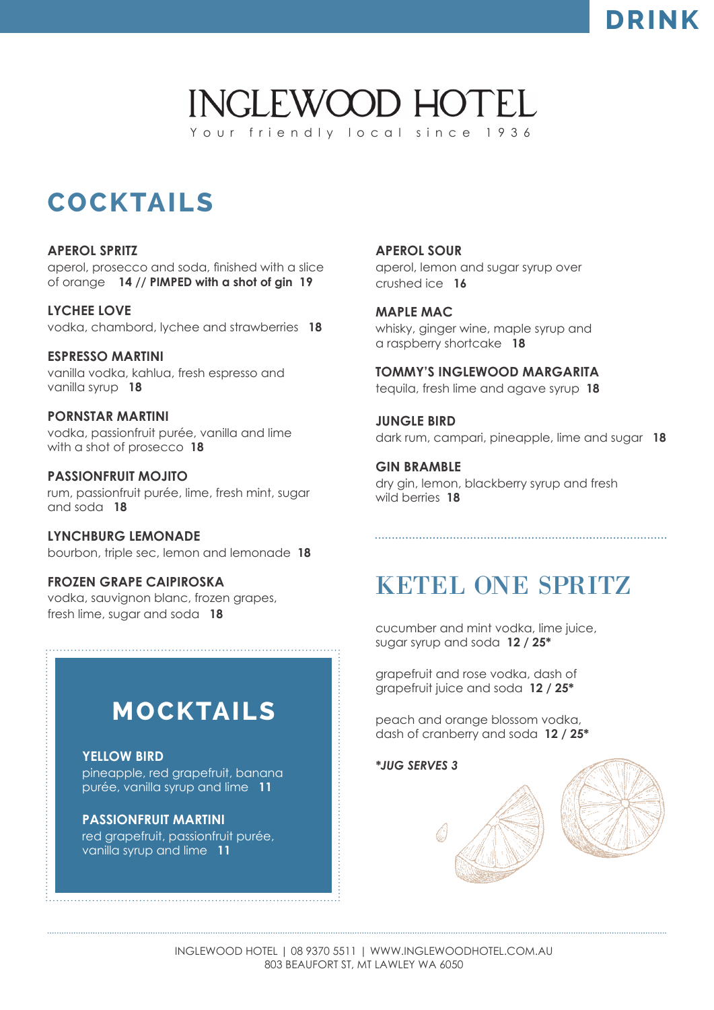### **DRINK**

### **INGLEWOOD HOTEL** Your friendly local since 1936

# **COCKTAILS**

#### **APEROL SPRITZ**

aperol, prosecco and soda, finished with a slice of orange **14 // PIMPED with a shot of gin 19**

**LYCHEE LOVE** vodka, chambord, lychee and strawberries **18**

**ESPRESSO MARTINI** vanilla vodka, kahlua, fresh espresso and vanilla syrup **18**

**PORNSTAR MARTINI** vodka, passionfruit purée, vanilla and lime with a shot of prosecco **18**

**PASSIONFRUIT MOJITO** rum, passionfruit purée, lime, fresh mint, sugar and soda **18**

**LYNCHBURG LEMONADE** bourbon, triple sec, lemon and lemonade **18**

### **FROZEN GRAPE CAIPIROSKA**

vodka, sauvignon blanc, frozen grapes, fresh lime, sugar and soda **18**

### **MOCKTAILS**

### **YELLOW BIRD**

pineapple, red grapefruit, banana purée, vanilla syrup and lime **11**

### **PASSIONFRUIT MARTINI**

red grapefruit, passionfruit purée, vanilla syrup and lime **11**

**APEROL SOUR** aperol, lemon and sugar syrup over crushed ice **16**

**MAPLE MAC** whisky, ginger wine, maple syrup and a raspberry shortcake **18**

**TOMMY'S INGLEWOOD MARGARITA** tequila, fresh lime and agave syrup **18**

**JUNGLE BIRD** dark rum, campari, pineapple, lime and sugar **18**

**GIN BRAMBLE** dry gin, lemon, blackberry syrup and fresh wild berries **18**

# KETEL ONE SPRITZ

cucumber and mint vodka, lime juice, sugar syrup and soda**12 / 25\***

grapefruit and rose vodka, dash of grapefruit juice and soda **12 / 25\***

peach and orange blossom vodka, dash of cranberry and soda**12 / 25\***

*\*JUG SERVES 3*